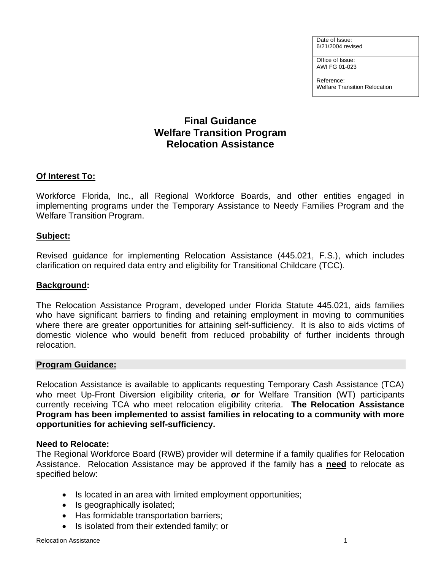Date of Issue: 6/21/2004 revised

Office of Issue: AWI FG 01-023

Reference: Welfare Transition Relocation

# **Final Guidance Welfare Transition Program Relocation Assistance**

# **Of Interest To:**

Workforce Florida, Inc., all Regional Workforce Boards, and other entities engaged in implementing programs under the Temporary Assistance to Needy Families Program and the Welfare Transition Program.

### **Subject:**

Revised guidance for implementing Relocation Assistance (445.021, F.S.), which includes clarification on required data entry and eligibility for Transitional Childcare (TCC).

### **Background:**

The Relocation Assistance Program, developed under Florida Statute 445.021, aids families who have significant barriers to finding and retaining employment in moving to communities where there are greater opportunities for attaining self-sufficiency. It is also to aids victims of domestic violence who would benefit from reduced probability of further incidents through relocation.

#### **Program Guidance:**

Relocation Assistance is available to applicants requesting Temporary Cash Assistance (TCA) who meet Up-Front Diversion eligibility criteria, *or* for Welfare Transition (WT) participants currently receiving TCA who meet relocation eligibility criteria. **The Relocation Assistance Program has been implemented to assist families in relocating to a community with more opportunities for achieving self-sufficiency.**

#### **Need to Relocate:**

The Regional Workforce Board (RWB) provider will determine if a family qualifies for Relocation Assistance. Relocation Assistance may be approved if the family has a **need** to relocate as specified below:

- Is located in an area with limited employment opportunities;
- Is geographically isolated;
- Has formidable transportation barriers;
- Is isolated from their extended family; or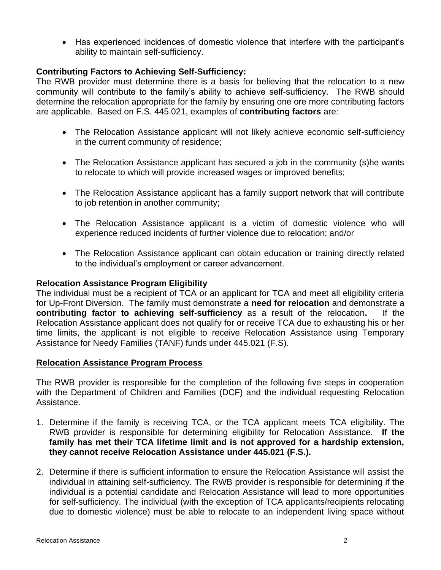• Has experienced incidences of domestic violence that interfere with the participant's ability to maintain self-sufficiency.

# **Contributing Factors to Achieving Self-Sufficiency:**

The RWB provider must determine there is a basis for believing that the relocation to a new community will contribute to the family's ability to achieve self-sufficiency. The RWB should determine the relocation appropriate for the family by ensuring one ore more contributing factors are applicable. Based on F.S. 445.021, examples of **contributing factors** are:

- The Relocation Assistance applicant will not likely achieve economic self-sufficiency in the current community of residence;
- The Relocation Assistance applicant has secured a job in the community (s)he wants to relocate to which will provide increased wages or improved benefits;
- The Relocation Assistance applicant has a family support network that will contribute to job retention in another community;
- The Relocation Assistance applicant is a victim of domestic violence who will experience reduced incidents of further violence due to relocation; and/or
- The Relocation Assistance applicant can obtain education or training directly related to the individual's employment or career advancement.

## **Relocation Assistance Program Eligibility**

The individual must be a recipient of TCA or an applicant for TCA and meet all eligibility criteria for Up-Front Diversion. The family must demonstrate a **need for relocation** and demonstrate a **contributing factor to achieving self-sufficiency** as a result of the relocation**.** If the Relocation Assistance applicant does not qualify for or receive TCA due to exhausting his or her time limits, the applicant is not eligible to receive Relocation Assistance using Temporary Assistance for Needy Families (TANF) funds under 445.021 (F.S).

#### **Relocation Assistance Program Process**

The RWB provider is responsible for the completion of the following five steps in cooperation with the Department of Children and Families (DCF) and the individual requesting Relocation Assistance.

- 1. Determine if the family is receiving TCA, or the TCA applicant meets TCA eligibility. The RWB provider is responsible for determining eligibility for Relocation Assistance. **If the family has met their TCA lifetime limit and is not approved for a hardship extension, they cannot receive Relocation Assistance under 445.021 (F.S.).**
- 2. Determine if there is sufficient information to ensure the Relocation Assistance will assist the individual in attaining self-sufficiency. The RWB provider is responsible for determining if the individual is a potential candidate and Relocation Assistance will lead to more opportunities for self-sufficiency. The individual (with the exception of TCA applicants/recipients relocating due to domestic violence) must be able to relocate to an independent living space without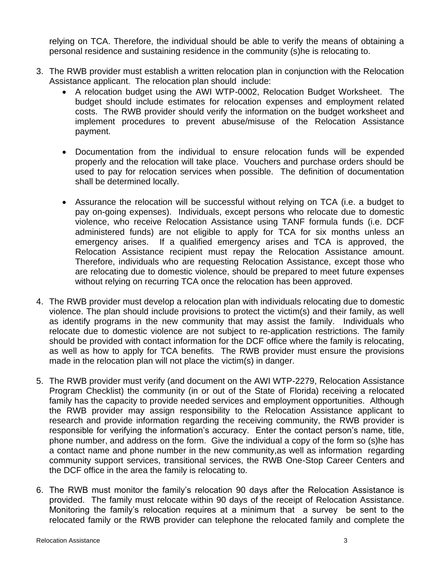relying on TCA. Therefore, the individual should be able to verify the means of obtaining a personal residence and sustaining residence in the community (s)he is relocating to.

- 3. The RWB provider must establish a written relocation plan in conjunction with the Relocation Assistance applicant. The relocation plan should include:
	- A relocation budget using the AWI WTP-0002, Relocation Budget Worksheet. The budget should include estimates for relocation expenses and employment related costs. The RWB provider should verify the information on the budget worksheet and implement procedures to prevent abuse/misuse of the Relocation Assistance payment.
	- Documentation from the individual to ensure relocation funds will be expended properly and the relocation will take place. Vouchers and purchase orders should be used to pay for relocation services when possible. The definition of documentation shall be determined locally.
	- Assurance the relocation will be successful without relying on TCA (i.e. a budget to pay on-going expenses). Individuals, except persons who relocate due to domestic violence, who receive Relocation Assistance using TANF formula funds (i.e. DCF administered funds) are not eligible to apply for TCA for six months unless an emergency arises. If a qualified emergency arises and TCA is approved, the Relocation Assistance recipient must repay the Relocation Assistance amount. Therefore, individuals who are requesting Relocation Assistance, except those who are relocating due to domestic violence, should be prepared to meet future expenses without relying on recurring TCA once the relocation has been approved.
- 4. The RWB provider must develop a relocation plan with individuals relocating due to domestic violence. The plan should include provisions to protect the victim(s) and their family, as well as identify programs in the new community that may assist the family. Individuals who relocate due to domestic violence are not subject to re-application restrictions. The family should be provided with contact information for the DCF office where the family is relocating, as well as how to apply for TCA benefits. The RWB provider must ensure the provisions made in the relocation plan will not place the victim(s) in danger.
- 5. The RWB provider must verify (and document on the AWI WTP-2279, Relocation Assistance Program Checklist) the community (in or out of the State of Florida) receiving a relocated family has the capacity to provide needed services and employment opportunities. Although the RWB provider may assign responsibility to the Relocation Assistance applicant to research and provide information regarding the receiving community, the RWB provider is responsible for verifying the information's accuracy. Enter the contact person's name, title, phone number, and address on the form. Give the individual a copy of the form so (s)he has a contact name and phone number in the new community,as well as information regarding community support services, transitional services, the RWB One-Stop Career Centers and the DCF office in the area the family is relocating to.
- 6. The RWB must monitor the family's relocation 90 days after the Relocation Assistance is provided. The family must relocate within 90 days of the receipt of Relocation Assistance. Monitoring the family's relocation requires at a minimum that a survey be sent to the relocated family or the RWB provider can telephone the relocated family and complete the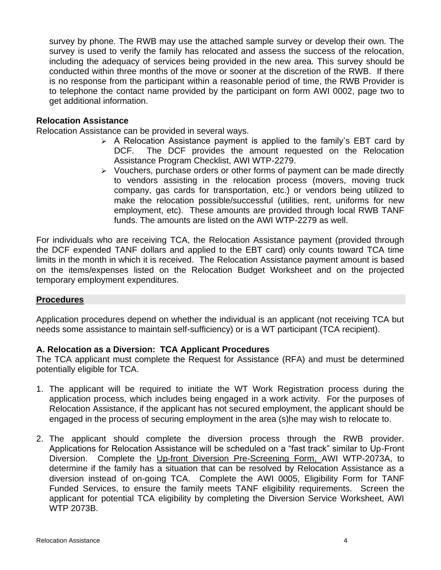survey by phone. The RWB may use the attached sample survey or develop their own. The survey is used to verify the family has relocated and assess the success of the relocation, including the adequacy of services being provided in the new area. This survey should be conducted within three months of the move or sooner at the discretion of the RWB. If there is no response from the participant within a reasonable period of time, the RWB Provider is to telephone the contact name provided by the participant on form AWI 0002, page two to get additional information.

### **Relocation Assistance**

Relocation Assistance can be provided in several ways.

- $\triangleright$  A Relocation Assistance payment is applied to the family's EBT card by DCF. The DCF provides the amount requested on the Relocation Assistance Program Checklist, AWI WTP-2279.
- ➢ Vouchers, purchase orders or other forms of payment can be made directly to vendors assisting in the relocation process (movers, moving truck company, gas cards for transportation, etc.) or vendors being utilized to make the relocation possible/successful (utilities, rent, uniforms for new employment, etc). These amounts are provided through local RWB TANF funds. The amounts are listed on the AWI WTP-2279 as well.

For individuals who are receiving TCA, the Relocation Assistance payment (provided through the DCF expended TANF dollars and applied to the EBT card) only counts toward TCA time limits in the month in which it is received. The Relocation Assistance payment amount is based on the items/expenses listed on the Relocation Budget Worksheet and on the projected temporary employment expenditures.

#### **Procedures**

Application procedures depend on whether the individual is an applicant (not receiving TCA but needs some assistance to maintain self-sufficiency) or is a WT participant (TCA recipient).

#### **A. Relocation as a Diversion: TCA Applicant Procedures**

The TCA applicant must complete the Request for Assistance (RFA) and must be determined potentially eligible for TCA.

- 1. The applicant will be required to initiate the WT Work Registration process during the application process, which includes being engaged in a work activity. For the purposes of Relocation Assistance, if the applicant has not secured employment, the applicant should be engaged in the process of securing employment in the area (s)he may wish to relocate to.
- 2. The applicant should complete the diversion process through the RWB provider. Applications for Relocation Assistance will be scheduled on a "fast track" similar to Up-Front Diversion. Complete the Up-front Diversion Pre-Screening Form, AWI WTP-2073A, to determine if the family has a situation that can be resolved by Relocation Assistance as a diversion instead of on-going TCA. Complete the AWI 0005, Eligibility Form for TANF Funded Services, to ensure the family meets TANF eligibility requirements. Screen the applicant for potential TCA eligibility by completing the Diversion Service Worksheet, AWI WTP 2073B.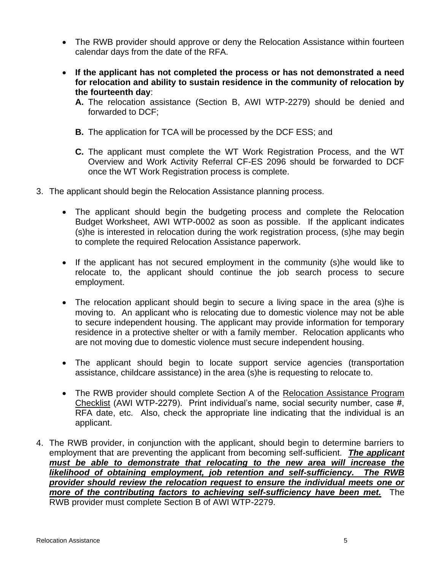- The RWB provider should approve or deny the Relocation Assistance within fourteen calendar days from the date of the RFA.
- **If the applicant has not completed the process or has not demonstrated a need for relocation and ability to sustain residence in the community of relocation by the fourteenth day**:
	- **A.** The relocation assistance (Section B, AWI WTP-2279) should be denied and forwarded to DCF;
	- **B.** The application for TCA will be processed by the DCF ESS; and
	- **C.** The applicant must complete the WT Work Registration Process, and the WT Overview and Work Activity Referral CF-ES 2096 should be forwarded to DCF once the WT Work Registration process is complete.
- 3. The applicant should begin the Relocation Assistance planning process.
	- The applicant should begin the budgeting process and complete the Relocation Budget Worksheet, AWI WTP-0002 as soon as possible. If the applicant indicates (s)he is interested in relocation during the work registration process, (s)he may begin to complete the required Relocation Assistance paperwork.
	- If the applicant has not secured employment in the community (s)he would like to relocate to, the applicant should continue the job search process to secure employment.
	- The relocation applicant should begin to secure a living space in the area (s)he is moving to. An applicant who is relocating due to domestic violence may not be able to secure independent housing. The applicant may provide information for temporary residence in a protective shelter or with a family member. Relocation applicants who are not moving due to domestic violence must secure independent housing.
	- The applicant should begin to locate support service agencies (transportation assistance, childcare assistance) in the area (s)he is requesting to relocate to.
	- The RWB provider should complete Section A of the Relocation Assistance Program Checklist (AWI WTP-2279). Print individual's name, social security number, case #, RFA date, etc. Also, check the appropriate line indicating that the individual is an applicant.
- 4. The RWB provider, in conjunction with the applicant, should begin to determine barriers to employment that are preventing the applicant from becoming self-sufficient. *The applicant must be able to demonstrate that relocating to the new area will increase the likelihood of obtaining employment, job retention and self-sufficiency. The RWB provider should review the relocation request to ensure the individual meets one or more of the contributing factors to achieving self-sufficiency have been met.* The RWB provider must complete Section B of AWI WTP-2279.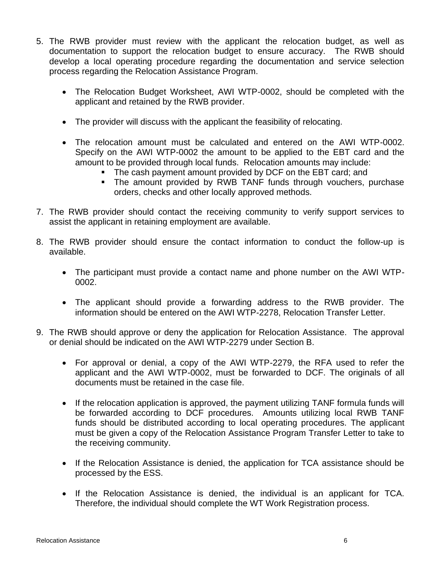- 5. The RWB provider must review with the applicant the relocation budget, as well as documentation to support the relocation budget to ensure accuracy. The RWB should develop a local operating procedure regarding the documentation and service selection process regarding the Relocation Assistance Program.
	- The Relocation Budget Worksheet, AWI WTP-0002, should be completed with the applicant and retained by the RWB provider.
	- The provider will discuss with the applicant the feasibility of relocating.
	- The relocation amount must be calculated and entered on the AWI WTP-0002. Specify on the AWI WTP-0002 the amount to be applied to the EBT card and the amount to be provided through local funds. Relocation amounts may include:
		- The cash payment amount provided by DCF on the EBT card; and
		- **EXTE:** The amount provided by RWB TANF funds through vouchers, purchase orders, checks and other locally approved methods.
- 7. The RWB provider should contact the receiving community to verify support services to assist the applicant in retaining employment are available.
- 8. The RWB provider should ensure the contact information to conduct the follow-up is available.
	- The participant must provide a contact name and phone number on the AWI WTP-0002.
	- The applicant should provide a forwarding address to the RWB provider. The information should be entered on the AWI WTP-2278, Relocation Transfer Letter.
- 9. The RWB should approve or deny the application for Relocation Assistance. The approval or denial should be indicated on the AWI WTP-2279 under Section B.
	- For approval or denial, a copy of the AWI WTP-2279, the RFA used to refer the applicant and the AWI WTP-0002, must be forwarded to DCF. The originals of all documents must be retained in the case file.
	- If the relocation application is approved, the payment utilizing TANF formula funds will be forwarded according to DCF procedures. Amounts utilizing local RWB TANF funds should be distributed according to local operating procedures. The applicant must be given a copy of the Relocation Assistance Program Transfer Letter to take to the receiving community.
	- If the Relocation Assistance is denied, the application for TCA assistance should be processed by the ESS.
	- If the Relocation Assistance is denied, the individual is an applicant for TCA. Therefore, the individual should complete the WT Work Registration process.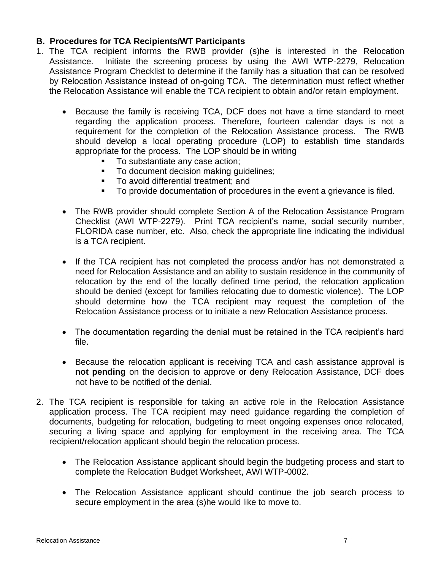# **B. Procedures for TCA Recipients/WT Participants**

- 1. The TCA recipient informs the RWB provider (s)he is interested in the Relocation Assistance. Initiate the screening process by using the AWI WTP-2279, Relocation Assistance Program Checklist to determine if the family has a situation that can be resolved by Relocation Assistance instead of on-going TCA. The determination must reflect whether the Relocation Assistance will enable the TCA recipient to obtain and/or retain employment.
	- Because the family is receiving TCA, DCF does not have a time standard to meet regarding the application process. Therefore, fourteen calendar days is not a requirement for the completion of the Relocation Assistance process. The RWB should develop a local operating procedure (LOP) to establish time standards appropriate for the process. The LOP should be in writing
		- To substantiate any case action;
		- To document decision making quidelines;
		- To avoid differential treatment; and
		- To provide documentation of procedures in the event a grievance is filed.
	- The RWB provider should complete Section A of the Relocation Assistance Program Checklist (AWI WTP-2279). Print TCA recipient's name, social security number, FLORIDA case number, etc. Also, check the appropriate line indicating the individual is a TCA recipient.
	- If the TCA recipient has not completed the process and/or has not demonstrated a need for Relocation Assistance and an ability to sustain residence in the community of relocation by the end of the locally defined time period, the relocation application should be denied (except for families relocating due to domestic violence). The LOP should determine how the TCA recipient may request the completion of the Relocation Assistance process or to initiate a new Relocation Assistance process.
	- The documentation regarding the denial must be retained in the TCA recipient's hard file.
	- Because the relocation applicant is receiving TCA and cash assistance approval is **not pending** on the decision to approve or deny Relocation Assistance, DCF does not have to be notified of the denial.
- 2. The TCA recipient is responsible for taking an active role in the Relocation Assistance application process. The TCA recipient may need guidance regarding the completion of documents, budgeting for relocation, budgeting to meet ongoing expenses once relocated, securing a living space and applying for employment in the receiving area. The TCA recipient/relocation applicant should begin the relocation process.
	- The Relocation Assistance applicant should begin the budgeting process and start to complete the Relocation Budget Worksheet, AWI WTP-0002.
	- The Relocation Assistance applicant should continue the job search process to secure employment in the area (s)he would like to move to.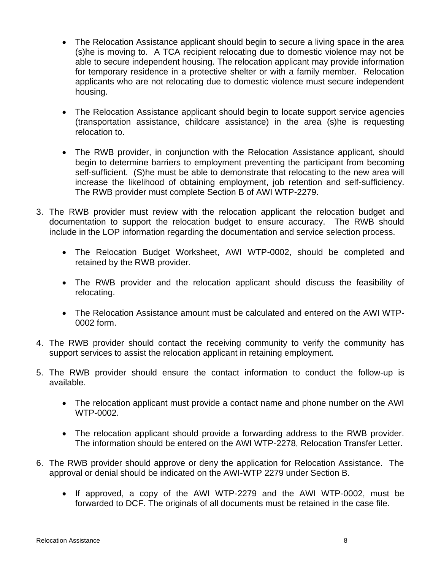- The Relocation Assistance applicant should begin to secure a living space in the area (s)he is moving to. A TCA recipient relocating due to domestic violence may not be able to secure independent housing. The relocation applicant may provide information for temporary residence in a protective shelter or with a family member. Relocation applicants who are not relocating due to domestic violence must secure independent housing.
- The Relocation Assistance applicant should begin to locate support service agencies (transportation assistance, childcare assistance) in the area (s)he is requesting relocation to.
- The RWB provider, in conjunction with the Relocation Assistance applicant, should begin to determine barriers to employment preventing the participant from becoming self-sufficient. (S)he must be able to demonstrate that relocating to the new area will increase the likelihood of obtaining employment, job retention and self-sufficiency. The RWB provider must complete Section B of AWI WTP-2279.
- 3. The RWB provider must review with the relocation applicant the relocation budget and documentation to support the relocation budget to ensure accuracy. The RWB should include in the LOP information regarding the documentation and service selection process.
	- The Relocation Budget Worksheet, AWI WTP-0002, should be completed and retained by the RWB provider.
	- The RWB provider and the relocation applicant should discuss the feasibility of relocating.
	- The Relocation Assistance amount must be calculated and entered on the AWI WTP-0002 form.
- 4. The RWB provider should contact the receiving community to verify the community has support services to assist the relocation applicant in retaining employment.
- 5. The RWB provider should ensure the contact information to conduct the follow-up is available.
	- The relocation applicant must provide a contact name and phone number on the AWI WTP-0002.
	- The relocation applicant should provide a forwarding address to the RWB provider. The information should be entered on the AWI WTP-2278, Relocation Transfer Letter.
- 6. The RWB provider should approve or deny the application for Relocation Assistance. The approval or denial should be indicated on the AWI-WTP 2279 under Section B.
	- If approved, a copy of the AWI WTP-2279 and the AWI WTP-0002, must be forwarded to DCF. The originals of all documents must be retained in the case file.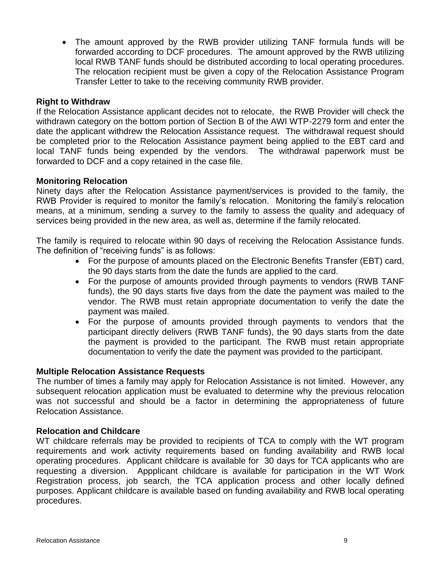• The amount approved by the RWB provider utilizing TANF formula funds will be forwarded according to DCF procedures. The amount approved by the RWB utilizing local RWB TANF funds should be distributed according to local operating procedures. The relocation recipient must be given a copy of the Relocation Assistance Program Transfer Letter to take to the receiving community RWB provider.

## **Right to Withdraw**

If the Relocation Assistance applicant decides not to relocate, the RWB Provider will check the withdrawn category on the bottom portion of Section B of the AWI WTP-2279 form and enter the date the applicant withdrew the Relocation Assistance request. The withdrawal request should be completed prior to the Relocation Assistance payment being applied to the EBT card and local TANF funds being expended by the vendors. The withdrawal paperwork must be forwarded to DCF and a copy retained in the case file.

### **Monitoring Relocation**

Ninety days after the Relocation Assistance payment/services is provided to the family, the RWB Provider is required to monitor the family's relocation. Monitoring the family's relocation means, at a minimum, sending a survey to the family to assess the quality and adequacy of services being provided in the new area, as well as, determine if the family relocated.

The family is required to relocate within 90 days of receiving the Relocation Assistance funds. The definition of "receiving funds" is as follows:

- For the purpose of amounts placed on the Electronic Benefits Transfer (EBT) card, the 90 days starts from the date the funds are applied to the card.
- For the purpose of amounts provided through payments to vendors (RWB TANF funds), the 90 days starts five days from the date the payment was mailed to the vendor. The RWB must retain appropriate documentation to verify the date the payment was mailed.
- For the purpose of amounts provided through payments to vendors that the participant directly delivers (RWB TANF funds), the 90 days starts from the date the payment is provided to the participant. The RWB must retain appropriate documentation to verify the date the payment was provided to the participant.

#### **Multiple Relocation Assistance Requests**

The number of times a family may apply for Relocation Assistance is not limited. However, any subsequent relocation application must be evaluated to determine why the previous relocation was not successful and should be a factor in determining the appropriateness of future Relocation Assistance.

#### **Relocation and Childcare**

WT childcare referrals may be provided to recipients of TCA to comply with the WT program requirements and work activity requirements based on funding availability and RWB local operating procedures. Applicant childcare is available for 30 days for TCA applicants who are requesting a diversion. Appplicant childcare is available for participation in the WT Work Registration process, job search, the TCA application process and other locally defined purposes. Applicant childcare is available based on funding availability and RWB local operating procedures.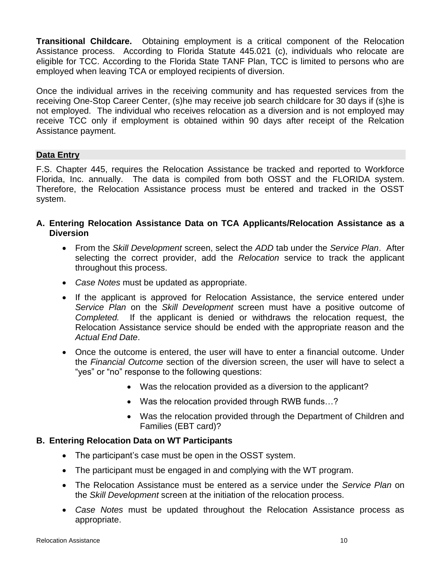**Transitional Childcare.** Obtaining employment is a critical component of the Relocation Assistance process. According to Florida Statute 445.021 (c), individuals who relocate are eligible for TCC. According to the Florida State TANF Plan, TCC is limited to persons who are employed when leaving TCA or employed recipients of diversion.

Once the individual arrives in the receiving community and has requested services from the receiving One-Stop Career Center, (s)he may receive job search childcare for 30 days if (s)he is not employed. The individual who receives relocation as a diversion and is not employed may receive TCC only if employment is obtained within 90 days after receipt of the Relcation Assistance payment.

# **Data Entry**

F.S. Chapter 445, requires the Relocation Assistance be tracked and reported to Workforce Florida, Inc. annually. The data is compiled from both OSST and the FLORIDA system. Therefore, the Relocation Assistance process must be entered and tracked in the OSST system.

- **A. Entering Relocation Assistance Data on TCA Applicants/Relocation Assistance as a Diversion**
	- From the *Skill Development* screen, select the *ADD* tab under the *Service Plan*. After selecting the correct provider, add the *Relocation* service to track the applicant throughout this process.
	- *Case Notes* must be updated as appropriate.
	- If the applicant is approved for Relocation Assistance, the service entered under *Service Plan* on the *Skill Development* screen must have a positive outcome of *Completed.* If the applicant is denied or withdraws the relocation request, the Relocation Assistance service should be ended with the appropriate reason and the *Actual End Date*.
	- Once the outcome is entered, the user will have to enter a financial outcome. Under the *Financial Outcome* section of the diversion screen, the user will have to select a "yes" or "no" response to the following questions:
		- Was the relocation provided as a diversion to the applicant?
		- Was the relocation provided through RWB funds...?
		- Was the relocation provided through the Department of Children and Families (EBT card)?

# **B. Entering Relocation Data on WT Participants**

- The participant's case must be open in the OSST system.
- The participant must be engaged in and complying with the WT program.
- The Relocation Assistance must be entered as a service under the *Service Plan* on the *Skill Development* screen at the initiation of the relocation process.
- *Case Notes* must be updated throughout the Relocation Assistance process as appropriate.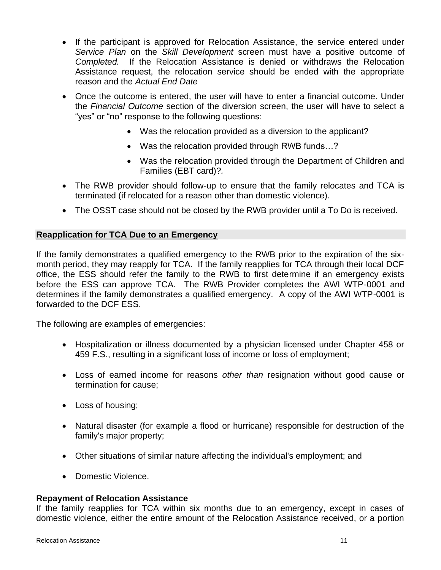- If the participant is approved for Relocation Assistance, the service entered under *Service Plan* on the *Skill Development* screen must have a positive outcome of *Completed.* If the Relocation Assistance is denied or withdraws the Relocation Assistance request, the relocation service should be ended with the appropriate reason and the *Actual End Date*
- Once the outcome is entered, the user will have to enter a financial outcome. Under the *Financial Outcome* section of the diversion screen, the user will have to select a "yes" or "no" response to the following questions:
	- Was the relocation provided as a diversion to the applicant?
	- Was the relocation provided through RWB funds...?
	- Was the relocation provided through the Department of Children and Families (EBT card)?*.*
- The RWB provider should follow-up to ensure that the family relocates and TCA is terminated (if relocated for a reason other than domestic violence).
- The OSST case should not be closed by the RWB provider until a To Do is received.

# **Reapplication for TCA Due to an Emergency**

If the family demonstrates a qualified emergency to the RWB prior to the expiration of the sixmonth period, they may reapply for TCA. If the family reapplies for TCA through their local DCF office, the ESS should refer the family to the RWB to first determine if an emergency exists before the ESS can approve TCA. The RWB Provider completes the AWI WTP-0001 and determines if the family demonstrates a qualified emergency. A copy of the AWI WTP-0001 is forwarded to the DCF ESS.

The following are examples of emergencies:

- Hospitalization or illness documented by a physician licensed under Chapter 458 or 459 F.S., resulting in a significant loss of income or loss of employment;
- Loss of earned income for reasons *other than* resignation without good cause or termination for cause;
- Loss of housing;
- Natural disaster (for example a flood or hurricane) responsible for destruction of the family's major property;
- Other situations of similar nature affecting the individual's employment; and
- Domestic Violence.

# **Repayment of Relocation Assistance**

If the family reapplies for TCA within six months due to an emergency, except in cases of domestic violence, either the entire amount of the Relocation Assistance received, or a portion